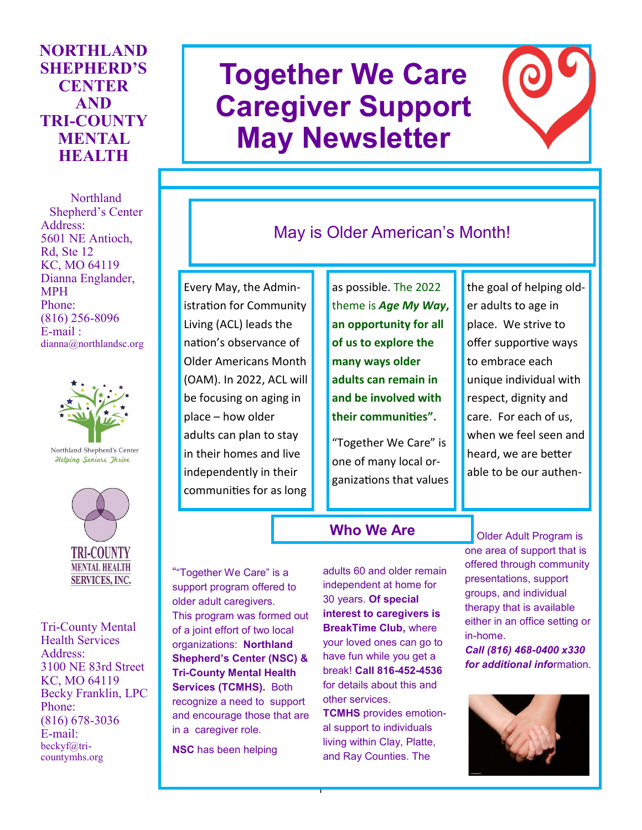## **NORTHLAND SHEPHERD'S CENTER AND TRI-COUNTY MENTAL HEALTH**

Northland Shepherd's Center Address: 5601 NE Antioch, Rd, Ste 12 KC, MO 64119 Dianna Englander, MPH Phone: (816) 256-8096 E-mail : dianna@northlandsc.org



Northland Shepherd's Center **Helping Seniors Ihrive** 



Tri-County Mental Health Services Address: 3100 NE 83rd Street KC, MO 64119 Becky Franklin, LPC Phone: (816) 678-3036 E-mail: beckyf@tricountymhs.org

# **Together We Care Caregiver Support May Newsletter**



## May is Older American's Month!

Every May, the Administration for Community Living (ACL) leads the nation's observance of Older Americans Month (OAM). In 2022, ACL will be focusing on aging in place – how older adults can plan to stay in their homes and live independently in their communities for as long

as possible. The 2022 theme is *Age My Way***, an opportunity for all of us to explore the many ways older adults can remain in and be involved with their communities".**

"Together We Care" is one of many local organizations that values the goal of helping older adults to age in place. We strive to offer supportive ways to embrace each unique individual with respect, dignity and care. For each of us, when we feel seen and heard, we are better able to be our authen-

## **Who We Are**

""Together We Care" is a support program offered to older adult caregivers. This program was formed out of a joint effort of two local organizations: **Northland Shepherd's Center (NSC) & Tri-County Mental Health Services (TCMHS).** Both recognize a need to support and encourage those that are in a caregiver role.

**NSC** has been helping

adults 60 and older remain independent at home for 30 years. **Of special interest to caregivers is BreakTime Club,** where your loved ones can go to have fun while you get a break! **Call 816-452-4536**  for details about this and other services.

**TCMHS** provides emotional support to individuals living within Clay, Platte, and Ray Counties. The

1

Older Adult Program is one area of support that is offered through community presentations, support groups, and individual therapy that is available either in an office setting or in-home.

*Call (816) 468-0400 x330 for additional info*rmation.

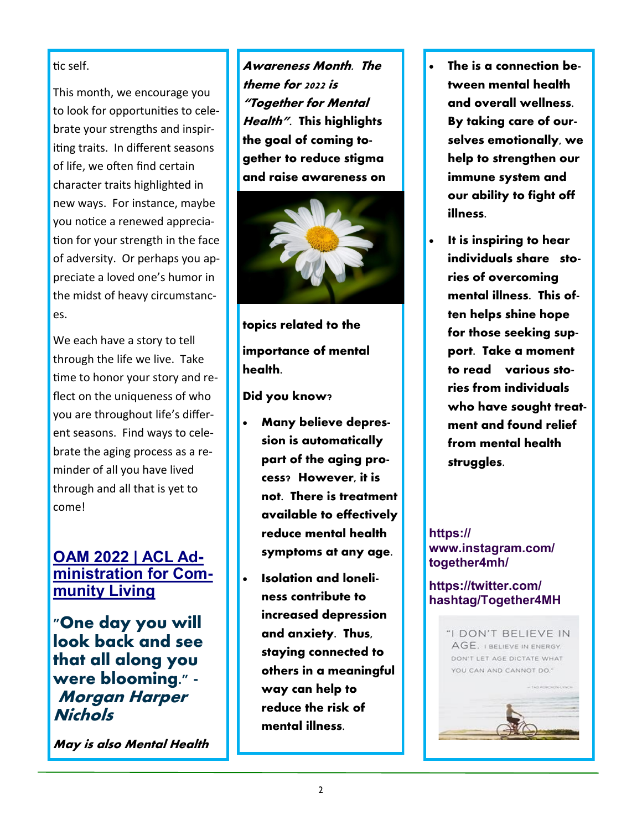tic self.

This month, we encourage you to look for opportunities to celebrate your strengths and inspiriting traits. In different seasons of life, we often find certain character traits highlighted in new ways. For instance, maybe you notice a renewed appreciation for your strength in the face of adversity. Or perhaps you appreciate a loved one's humor in the midst of heavy circumstances.

We each have a story to tell through the life we live. Take time to honor your story and reflect on the uniqueness of who you are throughout life's different seasons. Find ways to celebrate the aging process as a reminder of all you have lived through and all that is yet to come!

## **[OAM 2022 | ACL Ad](https://acl.gov/oam/2022/older-americans-month-2022)[ministration for Com](https://acl.gov/oam/2022/older-americans-month-2022)[munity Living](https://acl.gov/oam/2022/older-americans-month-2022)**

**"One day you will look back and see that all along you were blooming." - Morgan Harper Nichols**

**May is also Mental Health** 

**Awareness Month. The theme for 2022 is "Together for Mental Health". This highlights the goal of coming together to reduce stigma and raise awareness on** 



**topics related to the importance of mental health.** 

**Did you know?**

- **Many believe depression is automatically part of the aging process? However, it is not. There is treatment available to effectively reduce mental health symptoms at any age.**
- **Isolation and loneliness contribute to increased depression and anxiety. Thus, staying connected to others in a meaningful way can help to reduce the risk of mental illness.**
- **The is a connection between mental health and overall wellness. By taking care of ourselves emotionally, we help to strengthen our immune system and our ability to fight off illness.**
- **It is inspiring to hear individuals share stories of overcoming mental illness. This often helps shine hope for those seeking support. Take a moment to read various stories from individuals who have sought treatment and found relief from mental health struggles.**

#### **https:// www.instagram.com/ together4mh/**

#### **https://twitter.com/ hashtag/Together4MH**

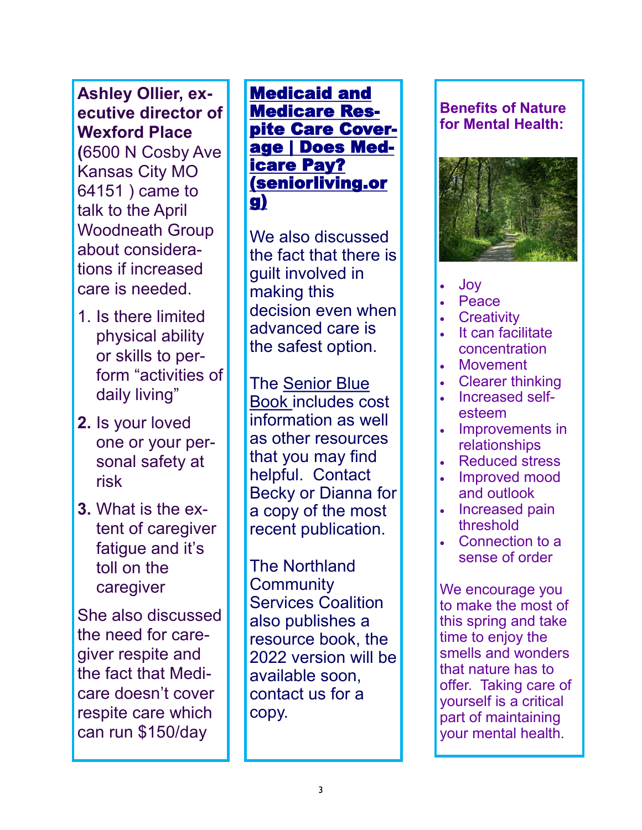**Ashley Ollier, executive director of Wexford Place (**6500 N Cosby Ave Kansas City MO 64151 ) came to talk to the April Woodneath Group about considerations if increased care is needed.

- 1. Is there limited physical ability or skills to perform "activities of daily living"
- **2.** Is your loved one or your personal safety at risk
- **3.** What is the extent of caregiver fatigue and it's toll on the caregiver

She also discussed the need for caregiver respite and the fact that Medicare doesn't cover respite care which can run \$150/day

**Medicaid and [Medicare Res](https://www.seniorliving.org/respite/medicare-medicaid/)**[pite Care Cover](https://www.seniorliving.org/respite/medicare-medicaid/)[age | Does Med-](https://www.seniorliving.org/respite/medicare-medicaid/)<u>icare Pay?</u> <u>[\(seniorliving.or](https://www.seniorliving.org/respite/medicare-medicaid/)</u> stances. For more [g\)](https://www.seniorliving.org/respite/medicare-medicaid/) 

information about re also discussed<br>refect that there is ro rat<br>aithin We also discussed the fact that there is guilt involved in making this decision even when advanced care is the safest option.

The Senior Blue Book includes cost information as well as other resources that you may find helpful. Contact Becky or Dianna for a copy of the most recent publication.

The Northland Community Services Coalition also publishes a resource book, the 2022 version will be available soon, contact us for a copy.

## **Benefits of Nature for Mental Health:**



- Joy
- Peace
- **Creativity**
- It can facilitate concentration
- **Movement**
- Clearer thinking
- Increased selfesteem
- Improvements in relationships
- Reduced stress
- Improved mood and outlook
- Increased pain threshold
- Connection to a sense of order

We encourage you to make the most of this spring and take time to enjoy the smells and wonders that nature has to offer. Taking care of yourself is a critical part of maintaining your mental health.